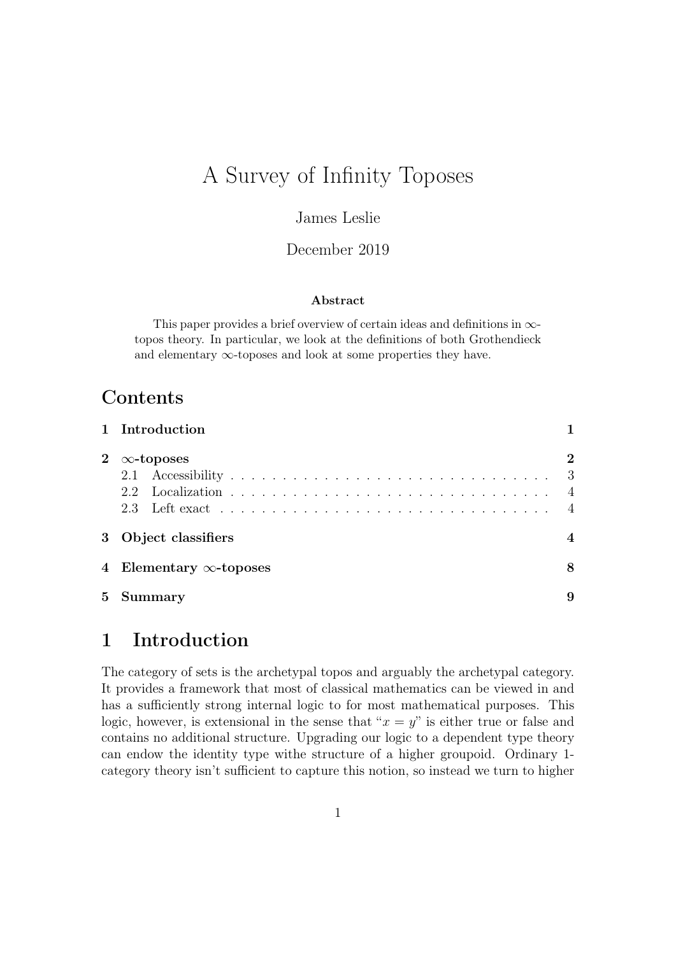# A Survey of Infinity Toposes

### James Leslie

#### December 2019

#### Abstract

This paper provides a brief overview of certain ideas and definitions in  $\infty$ topos theory. In particular, we look at the definitions of both Grothendieck and elementary  $\infty$ -toposes and look at some properties they have.

## **Contents**

|                | 1 Introduction                 |                                   |
|----------------|--------------------------------|-----------------------------------|
| $2^{\circ}$    | $\infty$ -toposes              | $\bf{2}$<br>- 3<br>$\overline{4}$ |
|                | 3 Object classifiers           |                                   |
|                | 4 Elementary $\infty$ -toposes | 8                                 |
| 5 <sup>5</sup> | Summary                        | 9                                 |

## <span id="page-0-0"></span>1 Introduction

The category of sets is the archetypal topos and arguably the archetypal category. It provides a framework that most of classical mathematics can be viewed in and has a sufficiently strong internal logic to for most mathematical purposes. This logic, however, is extensional in the sense that " $x = y$ " is either true or false and contains no additional structure. Upgrading our logic to a dependent type theory can endow the identity type withe structure of a higher groupoid. Ordinary 1 category theory isn't sufficient to capture this notion, so instead we turn to higher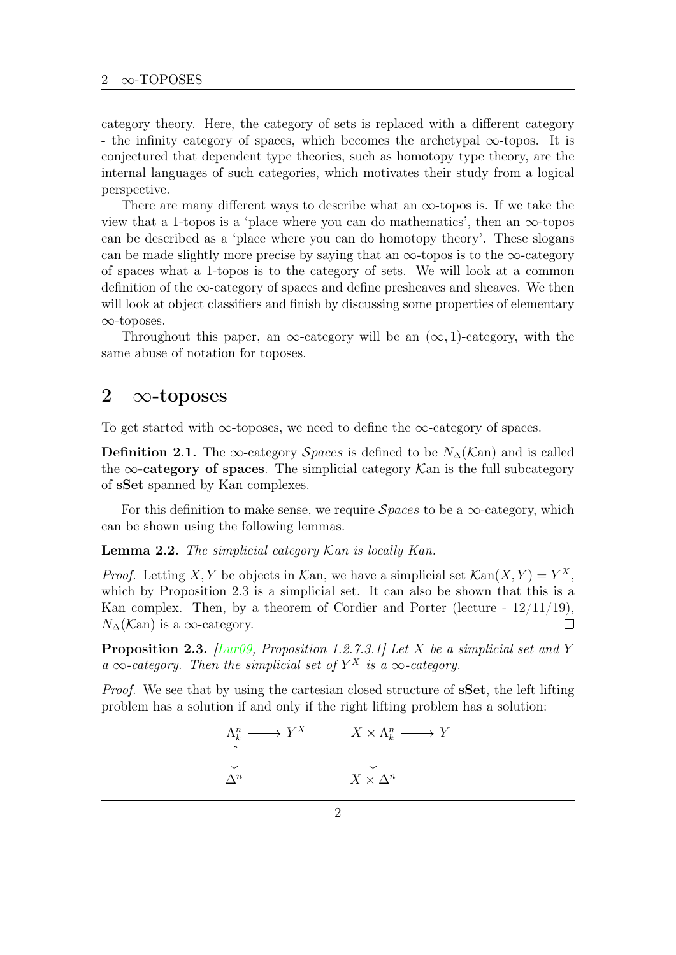category theory. Here, the category of sets is replaced with a different category - the infinity category of spaces, which becomes the archetypal ∞-topos. It is conjectured that dependent type theories, such as homotopy type theory, are the internal languages of such categories, which motivates their study from a logical perspective.

There are many different ways to describe what an  $\infty$ -topos is. If we take the view that a 1-topos is a 'place where you can do mathematics', then an  $\infty$ -topos can be described as a 'place where you can do homotopy theory'. These slogans can be made slightly more precise by saying that an  $\infty$ -topos is to the  $\infty$ -category of spaces what a 1-topos is to the category of sets. We will look at a common definition of the  $\infty$ -category of spaces and define presheaves and sheaves. We then will look at object classifiers and finish by discussing some properties of elementary ∞-toposes.

Throughout this paper, an  $\infty$ -category will be an  $(\infty, 1)$ -category, with the same abuse of notation for toposes.

### <span id="page-1-0"></span>2  $\infty$ -toposes

To get started with  $\infty$ -toposes, we need to define the  $\infty$ -category of spaces.

Definition 2.1. The ∞-category Spaces is defined to be  $N_\Delta(\mathcal{K}\text{an})$  and is called the  $\infty$ -category of spaces. The simplicial category Kan is the full subcategory of sSet spanned by Kan complexes.

For this definition to make sense, we require  $Spaces$  to be a  $\infty$ -category, which can be shown using the following lemmas.

**Lemma 2.2.** The simplicial category  $\mathcal{K}$ an is locally Kan.

*Proof.* Letting X, Y be objects in Kan, we have a simplicial set  $\mathcal{K}\text{an}(X, Y) = Y^X$ , which by Proposition [2.3](#page-1-1) is a simplicial set. It can also be shown that this is a Kan complex. Then, by a theorem of Cordier and Porter (lecture -  $12/11/19$ ),  $N_{\Delta}(\mathcal{K}\text{an})$  is a ∞-category.  $\Box$ 

<span id="page-1-1"></span>**Proposition 2.3.** [\[Lur09,](#page-9-0) Proposition 1.2.7.3.1] Let X be a simplicial set and Y a  $\infty$ -category. Then the simplicial set of  $Y^X$  is a  $\infty$ -category.

Proof. We see that by using the cartesian closed structure of sSet, the left lifting problem has a solution if and only if the right lifting problem has a solution:

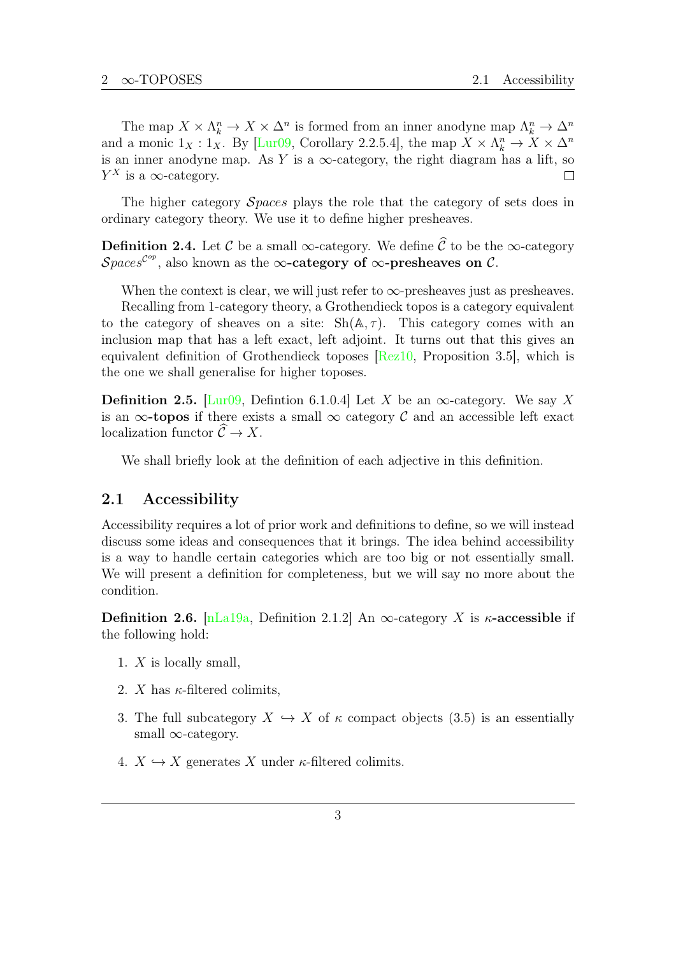The map  $X \times \Lambda_k^n \to X \times \Delta^n$  is formed from an inner anodyne map  $\Lambda_k^n \to \Delta^n$ and a monic  $1_X : 1_X$ . By [\[Lur09,](#page-9-0) Corollary 2.2.5.4], the map  $X \times \Lambda_k^n \to X \times \Lambda^n$ is an inner anodyne map. As Y is a  $\infty$ -category, the right diagram has a lift, so  $Y^X$  is a  $\infty$ -category.  $\Box$ 

The higher category *Spaces* plays the role that the category of sets does in ordinary category theory. We use it to define higher presheaves.

**Definition 2.4.** Let C be a small ∞-category. We define  $\hat{\mathcal{C}}$  to be the ∞-category  $\mathcal{S}paces^{\mathcal{C}^{op}},$  also known as the  $\infty\text{-category of }\infty\text{-presheaves on }\mathcal{C}.$ 

When the context is clear, we will just refer to  $\infty$ -presheaves just as presheaves. Recalling from 1-category theory, a Grothendieck topos is a category equivalent to the category of sheaves on a site:  $\mathrm{Sh}(\mathbb{A}, \tau)$ . This category comes with an inclusion map that has a left exact, left adjoint. It turns out that this gives an equivalent definition of Grothendieck toposes [\[Rez10,](#page-9-1) Proposition 3.5], which is the one we shall generalise for higher toposes.

<span id="page-2-1"></span>**Definition 2.5.** [\[Lur09,](#page-9-0) Defintion 6.1.0.4] Let X be an  $\infty$ -category. We say X is an  $\infty$ -topos if there exists a small  $\infty$  category C and an accessible left exact localization functor  $\widehat{\mathcal{C}} \to X$ .

We shall briefly look at the definition of each adjective in this definition.

#### <span id="page-2-0"></span>2.1 Accessibility

Accessibility requires a lot of prior work and definitions to define, so we will instead discuss some ideas and consequences that it brings. The idea behind accessibility is a way to handle certain categories which are too big or not essentially small. We will present a definition for completeness, but we will say no more about the condition.

Definition 2.6. [\[nLa19a,](#page-9-2) Definition 2.1.2] An  $\infty$ -category X is  $\kappa$ -accessible if the following hold:

- 1. X is locally small,
- 2. X has  $\kappa$ -filtered colimits,
- 3. The full subcategory  $X \hookrightarrow X$  of  $\kappa$  compact objects [\(3.5\)](#page-4-0) is an essentially small  $\infty$ -category.
- 4.  $X \hookrightarrow X$  generates X under  $\kappa$ -filtered colimits.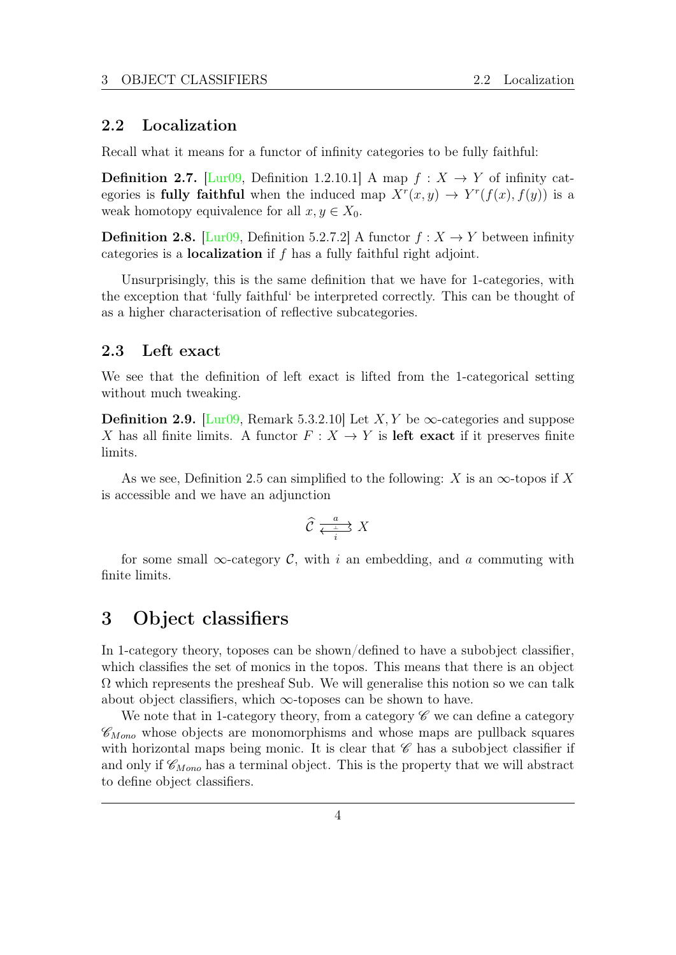#### <span id="page-3-0"></span>2.2 Localization

Recall what it means for a functor of infinity categories to be fully faithful:

**Definition 2.7.** [\[Lur09,](#page-9-0) Definition 1.2.10.1] A map  $f: X \rightarrow Y$  of infinity categories is **fully faithful** when the induced map  $X^r(x, y) \to Y^r(f(x), f(y))$  is a weak homotopy equivalence for all  $x, y \in X_0$ .

**Definition 2.8.** [\[Lur09,](#page-9-0) Definition 5.2.7.2] A functor  $f: X \to Y$  between infinity categories is a **localization** if  $f$  has a fully faithful right adjoint.

Unsurprisingly, this is the same definition that we have for 1-categories, with the exception that 'fully faithful' be interpreted correctly. This can be thought of as a higher characterisation of reflective subcategories.

#### <span id="page-3-1"></span>2.3 Left exact

We see that the definition of left exact is lifted from the 1-categorical setting without much tweaking.

Definition 2.9. [\[Lur09,](#page-9-0) Remark 5.3.2.10] Let X, Y be  $\infty$ -categories and suppose X has all finite limits. A functor  $F: X \to Y$  is **left exact** if it preserves finite limits.

As we see, Definition [2.5](#page-2-1) can simplified to the following: X is an  $\infty$ -topos if X is accessible and we have an adjunction

$$
\widehat{\mathcal{C}} \xrightarrow[i]{a} X
$$

for some small  $\infty$ -category C, with i an embedding, and a commuting with finite limits.

## <span id="page-3-2"></span>3 Object classifiers

In 1-category theory, toposes can be shown/defined to have a subobject classifier, which classifies the set of monics in the topos. This means that there is an object  $\Omega$  which represents the presheaf Sub. We will generalise this notion so we can talk about object classifiers, which  $\infty$ -toposes can be shown to have.

We note that in 1-category theory, from a category  $\mathscr C$  we can define a category  $\mathscr{C}_{Mono}$  whose objects are monomorphisms and whose maps are pullback squares with horizontal maps being monic. It is clear that  $\mathscr C$  has a subobject classifier if and only if  $\mathscr{C}_{M \circ m}$  has a terminal object. This is the property that we will abstract to define object classifiers.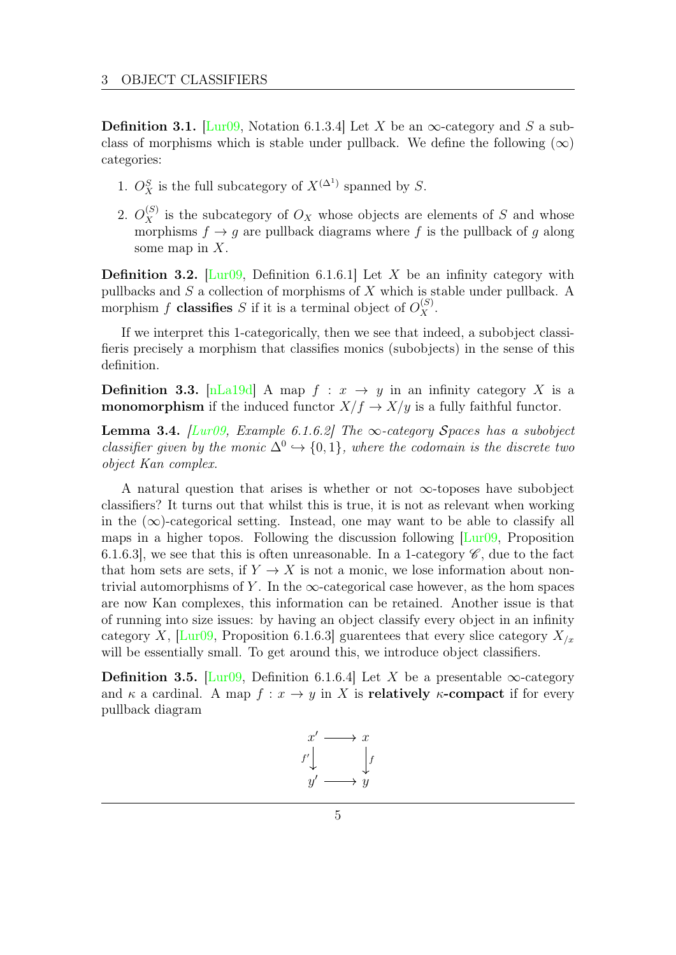**Definition 3.1.** [\[Lur09,](#page-9-0) Notation 6.1.3.4] Let X be an  $\infty$ -category and S a subclass of morphisms which is stable under pullback. We define the following  $(\infty)$ categories:

- 1.  $O_X^S$  is the full subcategory of  $X^{(\Delta^1)}$  spanned by S.
- 2.  $O_X^{(S)}$  is the subcategory of  $O_X$  whose objects are elements of S and whose morphisms  $f \rightarrow q$  are pullback diagrams where f is the pullback of q along some map in  $X$ .

**Definition 3.2.** [\[Lur09,](#page-9-0) Definition 6.1.6.1] Let X be an infinity category with pullbacks and S a collection of morphisms of X which is stable under pullback. A morphism f **classifies** S if it is a terminal object of  $O_X^{(S)}$ .

If we interpret this 1-categorically, then we see that indeed, a subobject classifieris precisely a morphism that classifies monics (subobjects) in the sense of this definition.

**Definition 3.3.** [\[nLa19d\]](#page-9-3) A map  $f : x \rightarrow y$  in an infinity category X is a **monomorphism** if the induced functor  $X/f \to X/y$  is a fully faithful functor.

**Lemma 3.4.** [\[Lur09,](#page-9-0) Example 6.1.6.2] The  $\infty$ -category Spaces has a subobject classifier given by the monic  $\Delta^0 \hookrightarrow \{0,1\}$ , where the codomain is the discrete two object Kan complex.

A natural question that arises is whether or not  $\infty$ -toposes have subobject classifiers? It turns out that whilst this is true, it is not as relevant when working in the  $(\infty)$ -categorical setting. Instead, one may want to be able to classify all maps in a higher topos. Following the discussion following  $\text{Lur09}$ , Proposition 6.1.6.3], we see that this is often unreasonable. In a 1-category  $\mathscr{C}$ , due to the fact that hom sets are sets, if  $Y \to X$  is not a monic, we lose information about nontrivial automorphisms of Y. In the  $\infty$ -categorical case however, as the hom spaces are now Kan complexes, this information can be retained. Another issue is that of running into size issues: by having an object classify every object in an infinity category X, [\[Lur09,](#page-9-0) Proposition 6.1.6.3] guarentees that every slice category  $X_{/x}$ will be essentially small. To get around this, we introduce object classifiers.

<span id="page-4-0"></span>**Definition 3.5.** [\[Lur09,](#page-9-0) Definition 6.1.6.4] Let X be a presentable  $\infty$ -category and  $\kappa$  a cardinal. A map  $f: x \to y$  in X is **relatively**  $\kappa$ -compact if for every pullback diagram

$$
\begin{array}{ccc}\nx' & \longrightarrow & x \\
f' & & f \\
y' & \longrightarrow & y\n\end{array}
$$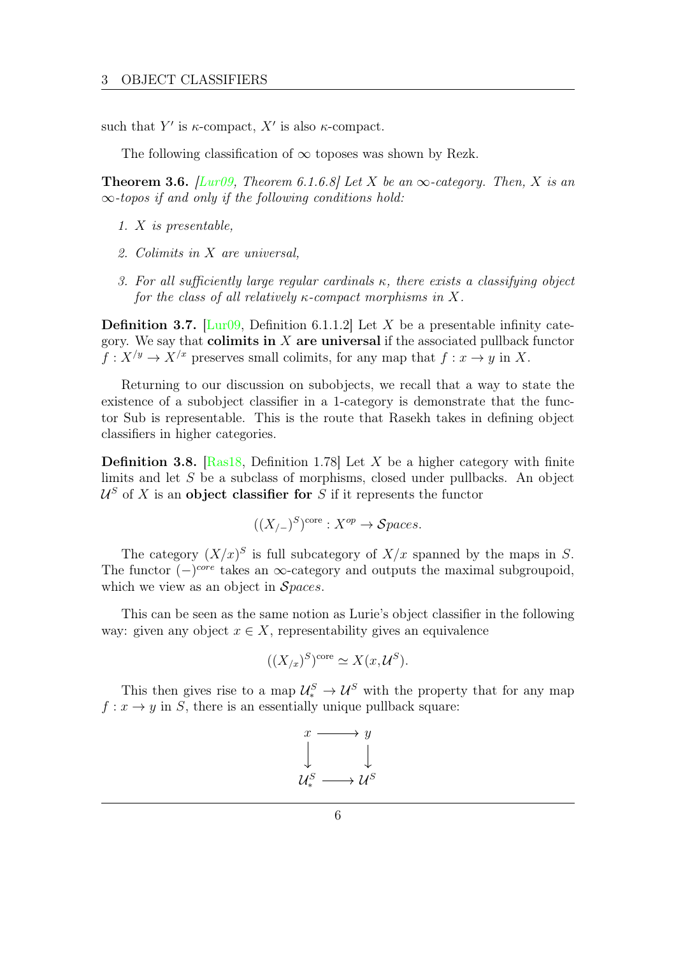such that Y' is  $\kappa$ -compact, X' is also  $\kappa$ -compact.

The following classification of  $\infty$  toposes was shown by Rezk.

**Theorem 3.6.** [\[Lur09,](#page-9-0) Theorem 6.1.6.8] Let X be an  $\infty$ -category. Then, X is an  $\infty$ -topos if and only if the following conditions hold:

- 1. X is presentable,
- 2. Colimits in X are universal,
- 3. For all sufficiently large regular cardinals  $\kappa$ , there exists a classifying object for the class of all relatively  $\kappa$ -compact morphisms in X.

**Definition 3.7.** [\[Lur09,](#page-9-0) Definition 6.1.1.2] Let X be a presentable infinity category. We say that colimits in  $X$  are universal if the associated pullback functor  $f: X/y \to X/x$  preserves small colimits, for any map that  $f: x \to y$  in X.

Returning to our discussion on subobjects, we recall that a way to state the existence of a subobject classifier in a 1-category is demonstrate that the functor Sub is representable. This is the route that Rasekh takes in defining object classifiers in higher categories.

**Definition 3.8.** [\[Ras18,](#page-9-4) Definition 1.78] Let X be a higher category with finite limits and let S be a subclass of morphisms, closed under pullbacks. An object  $\mathcal{U}^{S}$  of X is an object classifier for S if it represents the functor

$$
((X_{/-})^S)^{\text{core}} : X^{op} \to \mathcal{S} paces.
$$

The category  $(X/x)^S$  is full subcategory of  $X/x$  spanned by the maps in S. The functor  $(-)^{core}$  takes an  $\infty$ -category and outputs the maximal subgroupoid, which we view as an object in  $Spaces$ .

This can be seen as the same notion as Lurie's object classifier in the following way: given any object  $x \in X$ , representability gives an equivalence

$$
((X_{/x})^S)^{\text{core}} \simeq X(x, \mathcal{U}^S).
$$

This then gives rise to a map  $\mathcal{U}^S_* \to \mathcal{U}^S$  with the property that for any map  $f: x \to y$  in S, there is an essentially unique pullback square:

$$
x \longrightarrow y
$$
  

$$
\downarrow \qquad \qquad \downarrow
$$
  

$$
u^s_* \longrightarrow u^s
$$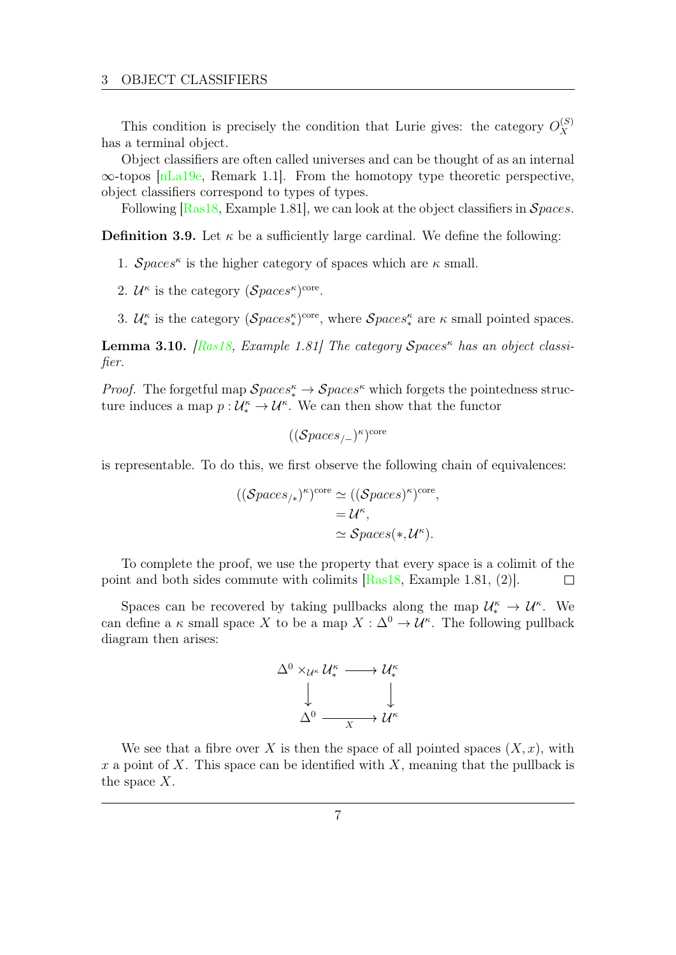This condition is precisely the condition that Lurie gives: the category  $O_X^{(S)}$ X has a terminal object.

Object classifiers are often called universes and can be thought of as an internal ∞-topos [\[nLa19e,](#page-9-5) Remark 1.1]. From the homotopy type theoretic perspective, object classifiers correspond to types of types.

Following  $[Ras18, Example 1.81]$  $[Ras18, Example 1.81]$ , we can look at the object classifiers in  $Spaces$ .

**Definition 3.9.** Let  $\kappa$  be a sufficiently large cardinal. We define the following:

- 1. Spaces<sup> $\kappa$ </sup> is the higher category of spaces which are  $\kappa$  small.
- 2.  $\mathcal{U}^{\kappa}$  is the category  $(\mathcal{S}paces^{\kappa})^{\text{core}}$ .
- 3.  $\mathcal{U}_{*}^{\kappa}$  is the category  $(\mathcal{Spaces}_{*}^{\kappa})^{\text{core}}$ , where  $\mathcal{Spaces}_{*}^{\kappa}$  are  $\kappa$  small pointed spaces.

**Lemma 3.10.** [\[Ras18,](#page-9-4) Example 1.81] The category  $Spaces^k$  has an object classifier.

*Proof.* The forgetful map  $\mathcal{Spaces}_*^{\kappa} \to \mathcal{Spaces}^{\kappa}$  which forgets the pointedness structure induces a map  $p: \mathcal{U}_*^{\kappa} \to \mathcal{U}^{\kappa}$ . We can then show that the functor

$$
((\mathcal Spaces_{/-})^{\kappa})^{\mathrm{core}}
$$

is representable. To do this, we first observe the following chain of equivalences:

$$
((\mathcal Spaces_{/*})^{\kappa})^{core} \simeq ((\mathcal Spaces)^{\kappa})^{core},
$$
  
=  $\mathcal{U}^{\kappa}$ ,  
 $\simeq \mathcal Spaces(*, \mathcal{U}^{\kappa}).$ 

To complete the proof, we use the property that every space is a colimit of the point and both sides commute with colimits [\[Ras18,](#page-9-4) Example 1.81, (2)].  $\Box$ 

Spaces can be recovered by taking pullbacks along the map  $\mathcal{U}_{*}^{\kappa} \to \mathcal{U}^{\kappa}$ . We can define a  $\kappa$  small space X to be a map  $X : \Delta^0 \to \mathcal{U}^{\kappa}$ . The following pullback diagram then arises:

$$
\begin{array}{ccc}\n\Delta^0 \times_{\mathcal{U}^\kappa} \mathcal{U}^\kappa_* & \longrightarrow \mathcal{U}^\kappa_* \\
\downarrow & & \downarrow \\
\Delta^0 & \xrightarrow{\qquad \qquad } & \mathcal{U}^\kappa\n\end{array}
$$

We see that a fibre over X is then the space of all pointed spaces  $(X, x)$ , with x a point of X. This space can be identified with X, meaning that the pullback is the space  $X$ .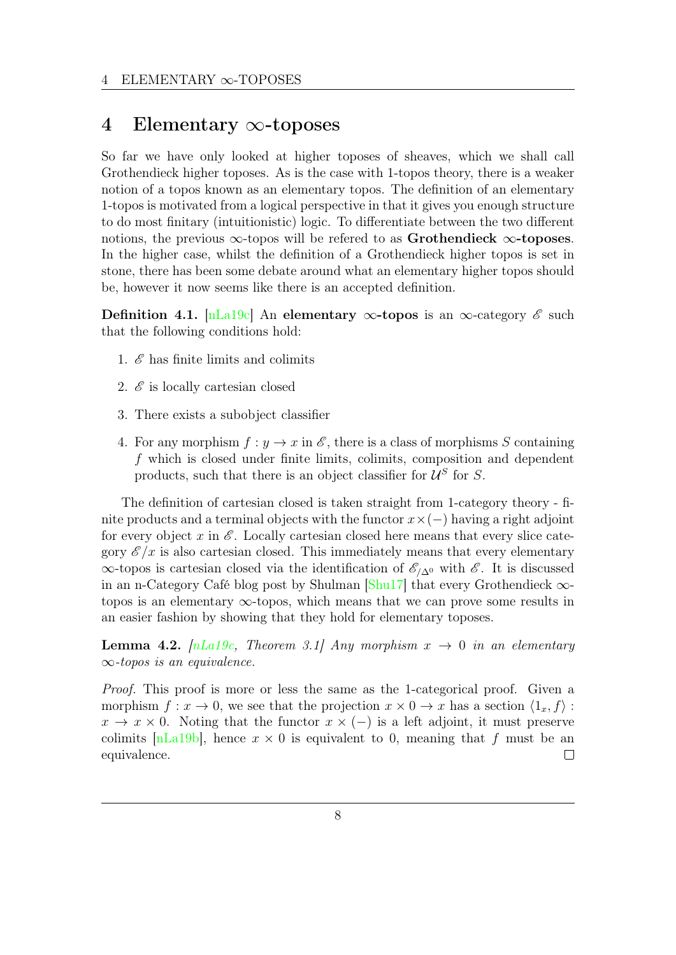### <span id="page-7-0"></span>4 Elementary ∞-toposes

So far we have only looked at higher toposes of sheaves, which we shall call Grothendieck higher toposes. As is the case with 1-topos theory, there is a weaker notion of a topos known as an elementary topos. The definition of an elementary 1-topos is motivated from a logical perspective in that it gives you enough structure to do most finitary (intuitionistic) logic. To differentiate between the two different notions, the previous  $\infty$ -topos will be refered to as Grothendieck  $\infty$ -toposes. In the higher case, whilst the definition of a Grothendieck higher topos is set in stone, there has been some debate around what an elementary higher topos should be, however it now seems like there is an accepted definition.

Definition 4.1. [\[nLa19c\]](#page-9-6) An elementary  $\infty$ -topos is an  $\infty$ -category  $\mathscr E$  such that the following conditions hold:

- 1.  $\mathscr E$  has finite limits and colimits
- 2.  $\mathscr E$  is locally cartesian closed
- 3. There exists a subobject classifier
- 4. For any morphism  $f: y \to x$  in  $\mathscr{E}$ , there is a class of morphisms S containing f which is closed under finite limits, colimits, composition and dependent products, such that there is an object classifier for  $\mathcal{U}^S$  for S.

The definition of cartesian closed is taken straight from 1-category theory - finite products and a terminal objects with the functor  $x \times (-)$  having a right adjoint for every object x in  $\mathscr E$ . Locally cartesian closed here means that every slice category  $\mathscr{E}/x$  is also cartesian closed. This immediately means that every elementary  $\infty$ -topos is cartesian closed via the identification of  $\mathscr{E}_{\Lambda}$ <sup>0</sup> with  $\mathscr{E}$ . It is discussed in an n-Category Café blog post by Shulman  $\left[\text{Shu17}\right]$  that every Grothendieck  $\infty$ topos is an elementary  $\infty$ -topos, which means that we can prove some results in an easier fashion by showing that they hold for elementary toposes.

**Lemma 4.2.**  $[nLa19c, Theorem 3.1] Any morphism  $x \to 0$  in an elementary$  $[nLa19c, Theorem 3.1] Any morphism  $x \to 0$  in an elementary$  $\infty$ -topos is an equivalence.

Proof. This proof is more or less the same as the 1-categorical proof. Given a morphism  $f: x \to 0$ , we see that the projection  $x \times 0 \to x$  has a section  $\langle 1_x, f \rangle$ :  $x \to x \times 0$ . Noting that the functor  $x \times (-)$  is a left adjoint, it must preserve colimits [\[nLa19b\]](#page-9-8), hence  $x \times 0$  is equivalent to 0, meaning that f must be an equivalence.  $\Box$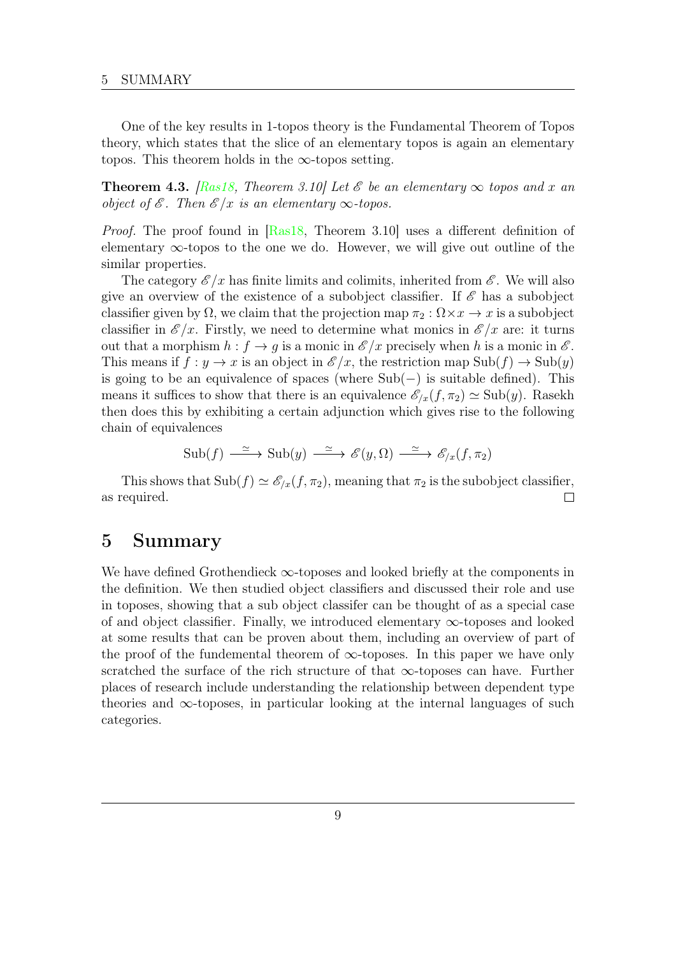One of the key results in 1-topos theory is the Fundamental Theorem of Topos theory, which states that the slice of an elementary topos is again an elementary topos. This theorem holds in the  $\infty$ -topos setting.

**Theorem 4.3.** [\[Ras18,](#page-9-4) Theorem 3.10] Let  $\mathscr E$  be an elementary  $\infty$  topos and x an object of  $\mathscr E$ . Then  $\mathscr E$ /x is an elementary  $\infty$ -topos.

Proof. The proof found in [\[Ras18,](#page-9-4) Theorem 3.10] uses a different definition of elementary  $\infty$ -topos to the one we do. However, we will give out outline of the similar properties.

The category  $\mathscr{E}/x$  has finite limits and colimits, inherited from  $\mathscr{E}$ . We will also give an overview of the existence of a subobject classifier. If  $\mathscr E$  has a subobject classifier given by  $\Omega$ , we claim that the projection map  $\pi_2 : \Omega \times \mathcal{X} \to \mathcal{X}$  is a subobject classifier in  $\mathscr{E}/x$ . Firstly, we need to determine what monics in  $\mathscr{E}/x$  are: it turns out that a morphism  $h : f \to q$  is a monic in  $\mathscr{E}/x$  precisely when h is a monic in  $\mathscr{E}$ . This means if  $f : y \to x$  is an object in  $\mathscr{E}/x$ , the restriction map  $\text{Sub}(f) \to \text{Sub}(y)$ is going to be an equivalence of spaces (where  $Sub(-)$  is suitable defined). This means it suffices to show that there is an equivalence  $\mathscr{E}_{x}(f, \pi_2) \simeq \text{Sub}(y)$ . Rasekh then does this by exhibiting a certain adjunction which gives rise to the following chain of equivalences

$$
Sub(f) \xrightarrow{\simeq} Sub(y) \xrightarrow{\simeq} \mathscr{E}(y,\Omega) \xrightarrow{\simeq} \mathscr{E}_{/x}(f,\pi_2)
$$

This shows that  $\text{Sub}(f) \simeq \mathscr{E}_{/x}(f, \pi_2)$ , meaning that  $\pi_2$  is the subobject classifier, as required.  $\Box$ 

### <span id="page-8-0"></span>5 Summary

We have defined Grothendieck  $\infty$ -toposes and looked briefly at the components in the definition. We then studied object classifiers and discussed their role and use in toposes, showing that a sub object classifer can be thought of as a special case of and object classifier. Finally, we introduced elementary ∞-toposes and looked at some results that can be proven about them, including an overview of part of the proof of the fundemental theorem of  $\infty$ -toposes. In this paper we have only scratched the surface of the rich structure of that  $\infty$ -toposes can have. Further places of research include understanding the relationship between dependent type theories and  $\infty$ -toposes, in particular looking at the internal languages of such categories.